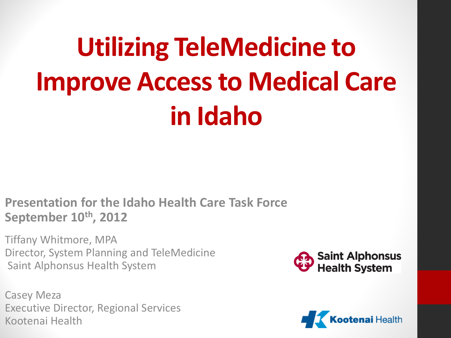# **Utilizing TeleMedicine to Improve Access to Medical Care in Idaho**

**Presentation for the Idaho Health Care Task Force September 10th, 2012**

Tiffany Whitmore, MPA Director, System Planning and TeleMedicine Saint Alphonsus Health System

Casey Meza Executive Director, Regional Services Kootenai Health



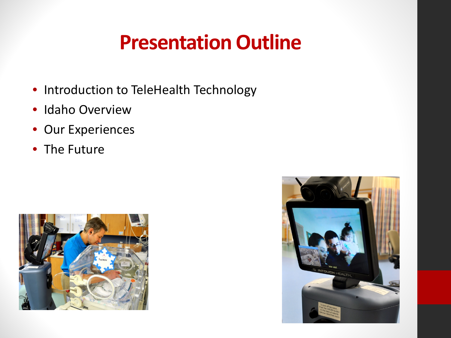# **Presentation Outline**

- Introduction to TeleHealth Technology
- Idaho Overview
- Our Experiences
- The Future



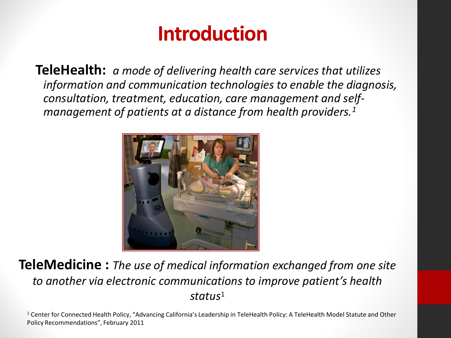# **Introduction**

**TeleHealth:** *a mode of delivering health care services that utilizes information and communication technologies to enable the diagnosis, consultation, treatment, education, care management and selfmanagement of patients at a distance from health providers.1*



#### **TeleMedicine :** *The use of medical information exchanged from one site to another via electronic communications to improve patient's health status*1

<sup>1</sup> Center for Connected Health Policy, "Advancing California's Leadership in TeleHealth Policy: A TeleHealth Model Statute and Other Policy Recommendations", February 2011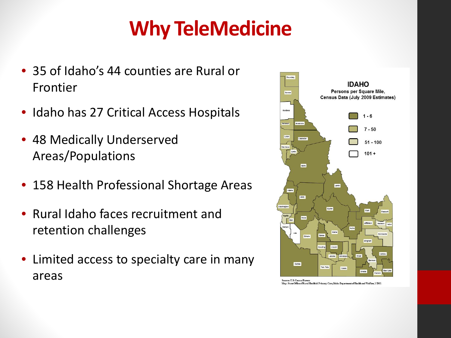# **Why TeleMedicine**

- 35 of Idaho's 44 counties are Rural or Frontier
- Idaho has 27 Critical Access Hospitals
- 48 Medically Underserved Areas/Populations
- 158 Health Professional Shortage Areas
- Rural Idaho faces recruitment and retention challenges
- Limited access to specialty care in many areas

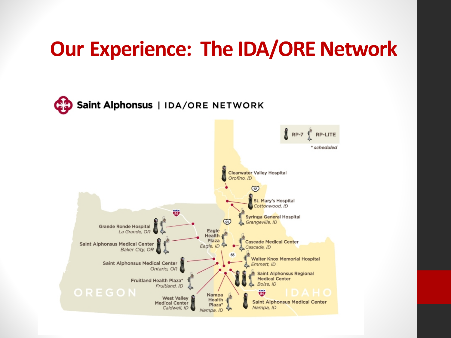### **Our Experience: The IDA/ORE Network**

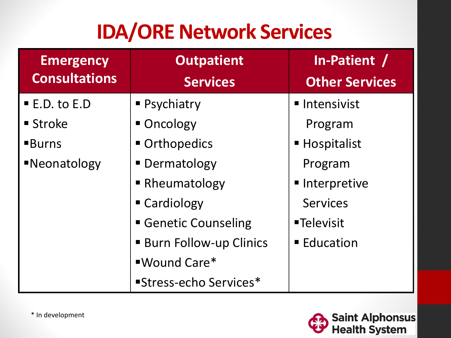# **IDA/ORE Network Services**

| <b>Emergency</b>           | <b>Outpatient</b>             | In-Patient /<br><b>Other Services</b> |  |  |
|----------------------------|-------------------------------|---------------------------------------|--|--|
| <b>Consultations</b>       | <b>Services</b>               |                                       |  |  |
| $\blacksquare$ E.D. to E.D | • Psychiatry                  | ■ Intensivist                         |  |  |
| $\blacksquare$ Stroke      | • Oncology                    | Program                               |  |  |
| <b>Burns</b>               | Orthopedics                   | ■ Hospitalist                         |  |  |
| <b>Neonatology</b>         | • Dermatology                 |                                       |  |  |
|                            | • Rheumatology                | Interpretive                          |  |  |
|                            | ■ Cardiology                  | <b>Services</b>                       |  |  |
|                            | Genetic Counseling            | <b>-Televisit</b>                     |  |  |
|                            | <b>Burn Follow-up Clinics</b> | ■ Education                           |  |  |
|                            | ■Wound Care*                  |                                       |  |  |
|                            | "Stress-echo Services*        |                                       |  |  |

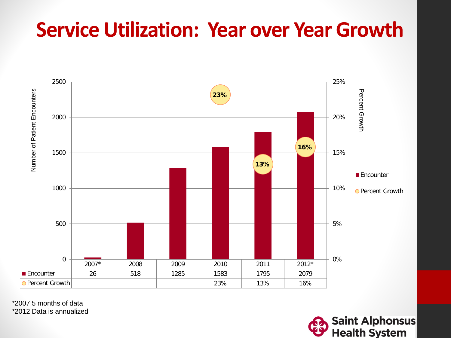# **Service Utilization: Year over Year Growth**



\*2007 5 months of data

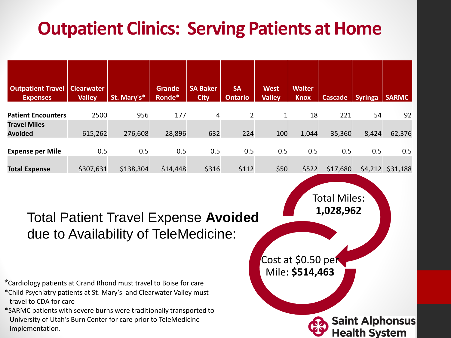### **Outpatient Clinics: Serving Patients at Home**

| <b>Outpatient Travel</b><br><b>Expenses</b> | <b>Clearwater</b><br><b>Valley</b> | St. Mary's* | <b>Grande</b><br>Ronde* | <b>SA Baker</b><br><b>City</b> | <b>SA</b><br><b>Ontario</b> | <b>West</b><br><b>Valley</b> | <b>Walter</b><br><b>Knox</b> | <b>Cascade</b> | <b>Syringa</b> | <b>SARMC</b> |
|---------------------------------------------|------------------------------------|-------------|-------------------------|--------------------------------|-----------------------------|------------------------------|------------------------------|----------------|----------------|--------------|
| <b>Patient Encounters</b>                   | 2500                               | 956         | 177                     | 4                              | 2                           | 1                            | 18                           | 221            | 54             | 92           |
| <b>Travel Miles</b>                         |                                    |             |                         |                                |                             |                              |                              |                |                |              |
| <b>Avoided</b>                              | 615,262                            | 276,608     | 28,896                  | 632                            | 224                         | 100                          | 1,044                        | 35,360         | 8,424          | 62,376       |
| <b>Expense per Mile</b>                     | 0.5                                | 0.5         | 0.5                     | 0.5                            | 0.5                         | 0.5                          | 0.5                          | 0.5            | 0.5            | 0.5          |
| <b>Total Expense</b>                        | \$307,631                          | \$138,304   | \$14,448                | \$316                          | \$112                       | \$50                         | \$522                        | \$17,680       | \$4,212        | \$31,188     |

Total Patient Travel Expense **Avoided** due to Availability of TeleMedicine:

\*Cardiology patients at Grand Rhond must travel to Boise for care

\*Child Psychiatry patients at St. Mary's and Clearwater Valley must travel to CDA for care

\*SARMC patients with severe burns were traditionally transported to University of Utah's Burn Center for care prior to TeleMedicine implementation.

Total Miles: **1,028,962** Cost at \$0.50 per Mile: **\$514,463 Saint Alphonsus Health Svstem**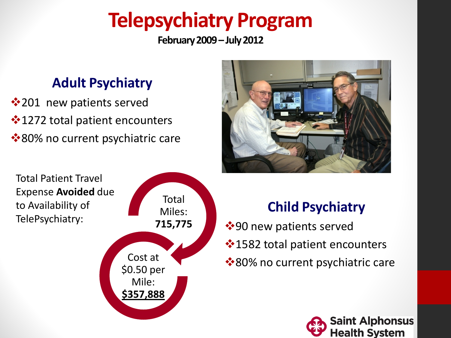# **Telepsychiatry Program**

**February 2009 –July 2012**

### **Adult Psychiatry**

**1201** new patients served 1272 total patient encounters **\*80% no current psychiatric care** 



Total Patient Travel Expense **Avoided** due to Availability of TelePsychiatry:



### **Child Psychiatry**

 $\dots$ **90 new patients served** 1582 total patient encounters **\*80% no current psychiatric care** 

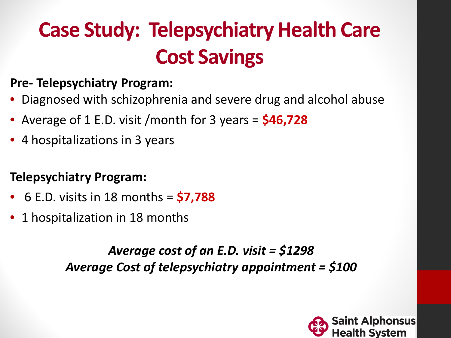# **Case Study: Telepsychiatry Health Care Cost Savings**

### **Pre- Telepsychiatry Program:**

- Diagnosed with schizophrenia and severe drug and alcohol abuse
- Average of 1 E.D. visit /month for 3 years = **\$46,728**
- 4 hospitalizations in 3 years

### **Telepsychiatry Program:**

- 6 E.D. visits in 18 months = **\$7,788**
- 1 hospitalization in 18 months

*Average cost of an E.D. visit = \$1298 Average Cost of telepsychiatry appointment = \$100* 

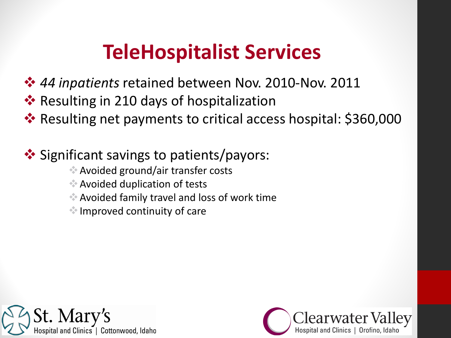# **TeleHospitalist Services**

- *44 inpatients* retained between Nov. 2010-Nov. 2011
- **EX** Resulting in 210 days of hospitalization
- **\*** Resulting net payments to critical access hospital: \$360,000

### **❖** Significant savings to patients/payors:

- Avoided ground/air transfer costs
- Avoided duplication of tests
- Avoided family travel and loss of work time
- Improved continuity of care



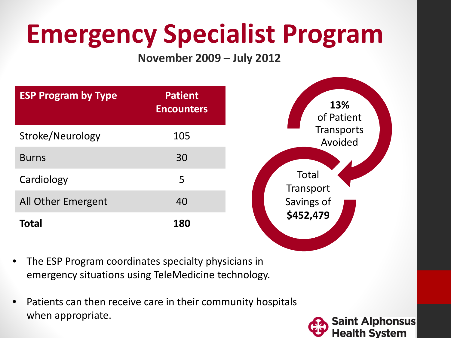# **Emergency Specialist Program**

#### **November 2009 – July 2012**

| <b>ESP Program by Type</b> | <b>Patient</b><br><b>Encounters</b> |  |  |  |
|----------------------------|-------------------------------------|--|--|--|
| Stroke/Neurology           | 105                                 |  |  |  |
| <b>Burns</b>               | 30                                  |  |  |  |
| Cardiology                 | 5                                   |  |  |  |
| All Other Emergent         | 40                                  |  |  |  |
| <b>Total</b>               | 180                                 |  |  |  |



- The ESP Program coordinates specialty physicians in emergency situations using TeleMedicine technology.
- Patients can then receive care in their community hospitals when appropriate.

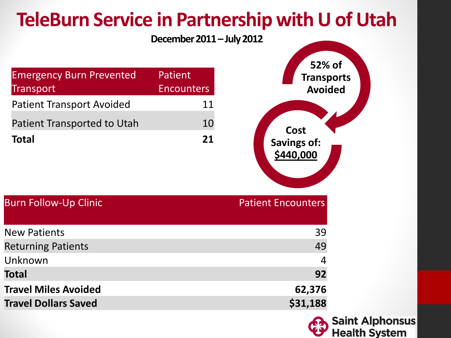

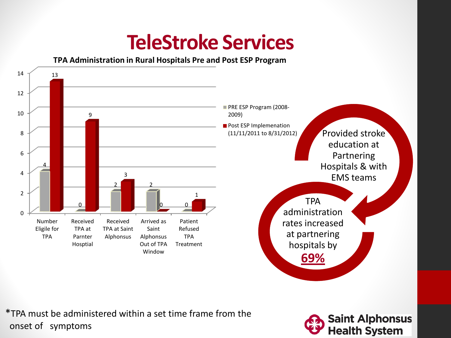# **TeleStroke Services**

**TPA Administration in Rural Hospitals Pre and Post ESP Program**



\*TPA must be administered within a set time frame from the onset of symptoms

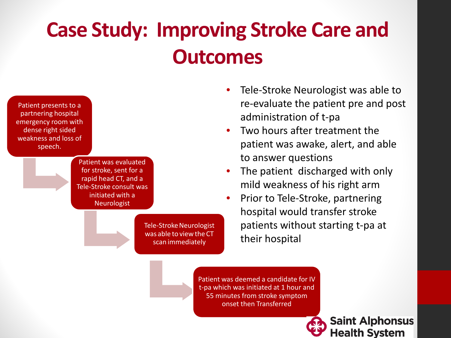# **Case Study: Improving Stroke Care and Outcomes**



Tele-Stroke Neurologist was able to view the CT scan immediately

- Tele-Stroke Neurologist was able to re-evaluate the patient pre and post administration of t-pa
- Two hours after treatment the patient was awake, alert, and able to answer questions
- The patient discharged with only mild weakness of his right arm
- Prior to Tele-Stroke, partnering hospital would transfer stroke patients without starting t-pa at their hospital

Patient was deemed a candidate for IV t-pa which was initiated at 1 hour and 55 minutes from stroke symptom onset then Transferred

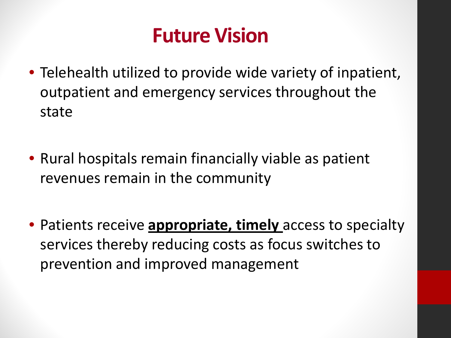# **Future Vision**

- Telehealth utilized to provide wide variety of inpatient, outpatient and emergency services throughout the state
- Rural hospitals remain financially viable as patient revenues remain in the community
- Patients receive **appropriate, timely** access to specialty services thereby reducing costs as focus switches to prevention and improved management